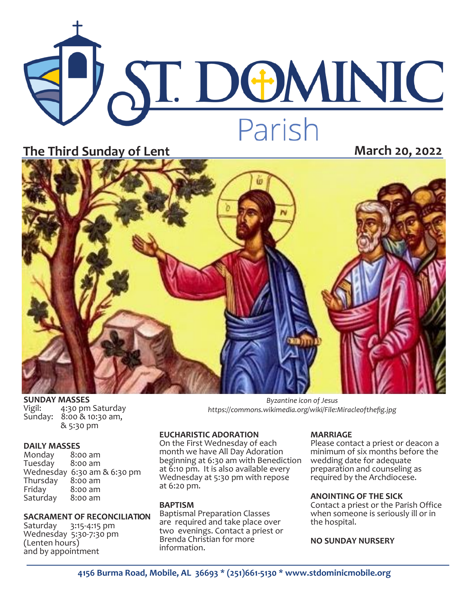# **ST. DOMINIC** Parish **The Third Sunday of Lent March 20, 2022**



**SUNDAY MASSES**<br>Vigil: 4:30 pm

Vigil: 4:30 pm Saturday<br>Sunday: 8:00 & 10:30 am,  $8:00 \& 10:30$  am, & 5:30 pm

**DAILY MASSES**  Monday 8:00 am Tuesday Wednesday 6:30 am & 6:30 pm<br>Thursday 8:00 am Thursday<br>Friday  $8:00$  am<br> $8:00$  am Saturday

# **SACRAMENT OF RECONCILIATION**<br>Saturday 3:15-4:15 pm

Saturday 3:15-4:15 pm Wednesday 5:30-7:30 pm (Lenten hours) and by appointment

*Byzantine icon of Jesus https://commons.wikimedia.org/wiki/File:Miracleofthefig.jpg*

#### **EUCHARISTIC ADORATION**

On the First Wednesday of each month we have All Day Adoration beginning at 6:30 am with Benediction at 6:10 pm. It is also available every Wednesday at 5:30 pm with repose at 6:20 pm.

## **BAPTISM**

Baptismal Preparation Classes are required and take place over two evenings. Contact a priest or Brenda Christian for more information.

## **MARRIAGE**

Please contact a priest or deacon a minimum of six months before the wedding date for adequate preparation and counseling as required by the Archdiocese.

## **ANOINTING OF THE SICK**

Contact a priest or the Parish Office when someone is seriously ill or in the hospital.

## **NO SUNDAY NURSERY**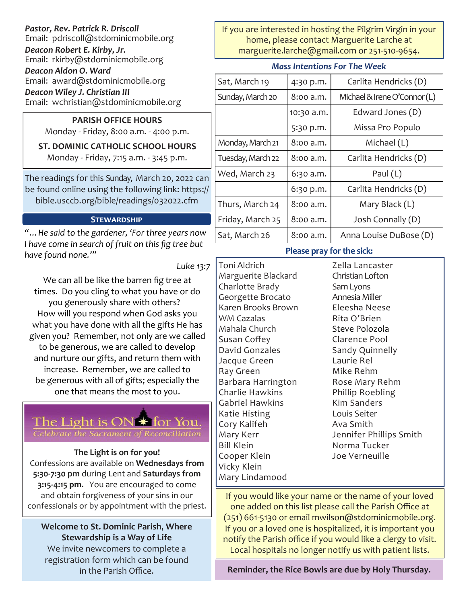# *Pastor, Rev. Patrick R. Driscoll*

Email: pdriscoll@stdominicmobile.org

*Deacon Robert E. Kirby, Jr.* Email: rkirby@stdominicmobile.org

*Deacon Aldon O. Ward*

Email: award@stdominicmobile.org

*Deacon Wiley J. Christian III*

Email: wchristian@stdominicmobile.org

# **PARISH OFFICE HOURS**

Monday - Friday, 8:00 a.m. - 4:00 p.m.

# **ST. DOMINIC CATHOLIC SCHOOL HOURS**

Monday - Friday, 7:15 a.m. - 3:45 p.m.

The readings for this Sunday, March 20, 2022 can be found online using the following link: https:// bible.usccb.org/bible/readings/032022.cfm

# **Stewardship**

*"…He said to the gardener, 'For three years now I have come in search of fruit on this fig tree but have found none.'"* 

*Luke 13:7*

We can all be like the barren fig tree at times. Do you cling to what you have or do you generously share with others? How will you respond when God asks you what you have done with all the gifts He has given you? Remember, not only are we called to be generous, we are called to develop and nurture our gifts, and return them with increase. Remember, we are called to be generous with all of gifts; especially the one that means the most to you.



# **The Light is on for you!**

Confessions are available on **Wednesdays from 5:30-7:30 pm** during Lent and **Saturdays from 3:15-4:15 pm.** You are encouraged to come and obtain forgiveness of your sins in our confessionals or by appointment with the priest.

**Welcome to St. Dominic Parish**, **Where Stewardship is a Way of Life**  We invite newcomers to complete a registration form which can be found

If you are interested in hosting the Pilgrim Virgin in your home, please contact Marguerite Larche at marguerite.larche@gmail.com or 251-510-9654.

# *Mass Intentions For The Week*

| Sat, March 19     | 4:30 p.m.  | Carlita Hendricks (D)        |
|-------------------|------------|------------------------------|
| Sunday, March 20  | 8:00 a.m.  | Michael & Irene O'Connor (L) |
|                   | 10:30 a.m. | Edward Jones (D)             |
|                   | 5:30 p.m.  | Missa Pro Populo             |
| Monday, March 21  | 8:00 a.m.  | Michael (L)                  |
| Tuesday, March 22 | 8:00 a.m.  | Carlita Hendricks (D)        |
| Wed, March 23     | 6:30 a.m.  | Paul $(L)$                   |
|                   | 6:30 p.m.  | Carlita Hendricks (D)        |
| Thurs, March 24   | 8:00 a.m.  | Mary Black (L)               |
| Friday, March 25  | 8:00 a.m.  | Josh Connally (D)            |
| Sat, March 26     | 8:00 a.m.  | Anna Louise DuBose (D)       |

# **Please pray for the sick:**

Toni Aldrich Marguerite Blackard Charlotte Brady Georgette Brocato Karen Brooks Brown WM Cazalas Mahala Church Susan Coffey David Gonzales Jacque Green Ray Green Barbara Harrington Charlie Hawkins Gabriel Hawkins Katie Histing Cory Kalifeh Mary Kerr Bill Klein Cooper Klein Vicky Klein Mary Lindamood

Zella Lancaster Christian Lofton Sam Lyons Annesia Miller Eleesha Neese Rita O'Brien Steve Polozola Clarence Pool Sandy Quinnelly Laurie Rel Mike Rehm Rose Mary Rehm Phillip Roebling Kim Sanders Louis Seiter Ava Smith Jennifer Phillips Smith Norma Tucker Joe Verneuille

If you would like your name or the name of your loved one added on this list please call the Parish Office at (251) 661-5130 or email mwilson@stdominicmobile.org. If you or a loved one is hospitalized, it is important you notify the Parish office if you would like a clergy to visit. Local hospitals no longer notify us with patient lists.

in the Parish Office. **Reminder, the Rice Bowls are due by Holy Thursday.**